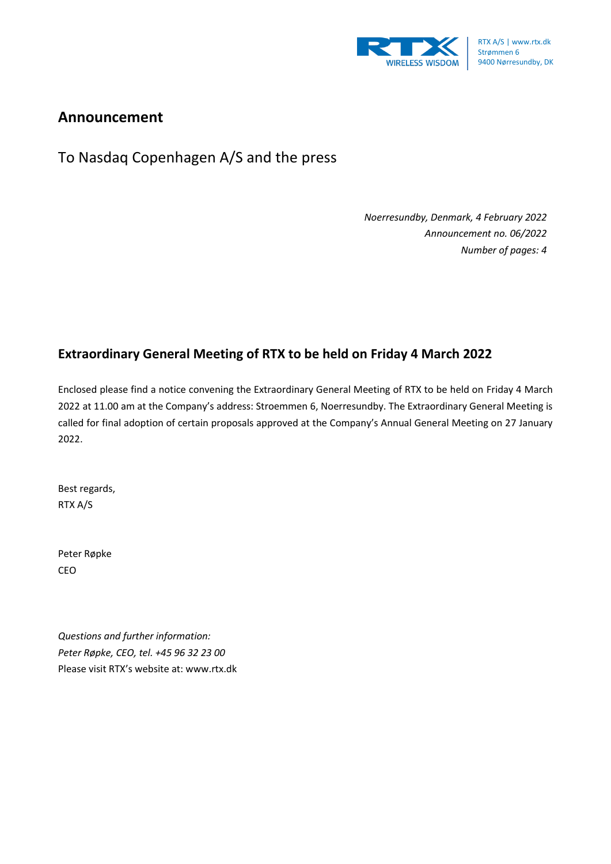

## **Announcement**

To Nasdaq Copenhagen A/S and the press

*Noerresundby, Denmark, 4 February 2022 Announcement no. 06/2022 Number of pages: 4*

## **Extraordinary General Meeting of RTX to be held on Friday 4 March 2022**

Enclosed please find a notice convening the Extraordinary General Meeting of RTX to be held on Friday 4 March 2022 at 11.00 am at the Company's address: Stroemmen 6, Noerresundby. The Extraordinary General Meeting is called for final adoption of certain proposals approved at the Company's Annual General Meeting on 27 January 2022.

Best regards, RTX A/S

Peter Røpke CEO

*Questions and further information: Peter Røpke, CEO, tel. +45 96 32 23 00* Please visit RTX's website at: www.rtx.dk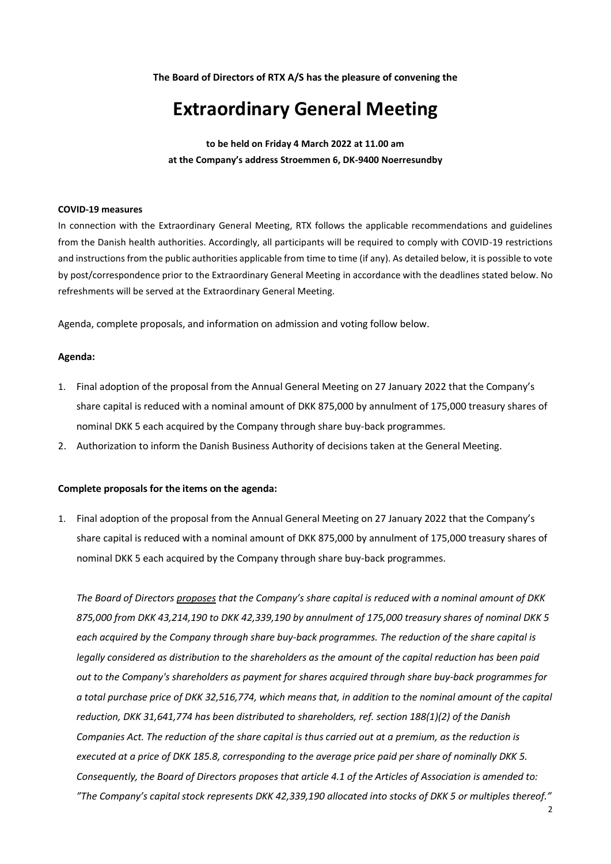**The Board of Directors of RTX A/S has the pleasure of convening the**

# **Extraordinary General Meeting**

**to be held on Friday 4 March 2022 at 11.00 am at the Company's address Stroemmen 6, DK-9400 Noerresundby** 

#### **COVID-19 measures**

In connection with the Extraordinary General Meeting, RTX follows the applicable recommendations and guidelines from the Danish health authorities. Accordingly, all participants will be required to comply with COVID-19 restrictions and instructions from the public authorities applicable from time to time (if any). As detailed below, it is possible to vote by post/correspondence prior to the Extraordinary General Meeting in accordance with the deadlines stated below. No refreshments will be served at the Extraordinary General Meeting.

Agenda, complete proposals, and information on admission and voting follow below.

#### **Agenda:**

- 1. Final adoption of the proposal from the Annual General Meeting on 27 January 2022 that the Company's share capital is reduced with a nominal amount of DKK 875,000 by annulment of 175,000 treasury shares of nominal DKK 5 each acquired by the Company through share buy-back programmes.
- 2. Authorization to inform the Danish Business Authority of decisions taken at the General Meeting.

#### **Complete proposals for the items on the agenda:**

1. Final adoption of the proposal from the Annual General Meeting on 27 January 2022 that the Company's share capital is reduced with a nominal amount of DKK 875,000 by annulment of 175,000 treasury shares of nominal DKK 5 each acquired by the Company through share buy-back programmes.

*The Board of Directors proposes that the Company's share capital is reduced with a nominal amount of DKK 875,000 from DKK 43,214,190 to DKK 42,339,190 by annulment of 175,000 treasury shares of nominal DKK 5 each acquired by the Company through share buy-back programmes. The reduction of the share capital is legally considered as distribution to the shareholders as the amount of the capital reduction has been paid out to the Company's shareholders as payment for shares acquired through share buy-back programmes for a total purchase price of DKK 32,516,774, which means that, in addition to the nominal amount of the capital reduction, DKK 31,641,774 has been distributed to shareholders, ref. section 188(1)(2) of the Danish Companies Act. The reduction of the share capital is thus carried out at a premium, as the reduction is executed at a price of DKK 185.8, corresponding to the average price paid per share of nominally DKK 5. Consequently, the Board of Directors proposes that article 4.1 of the Articles of Association is amended to: "The Company's capital stock represents DKK 42,339,190 allocated into stocks of DKK 5 or multiples thereof."*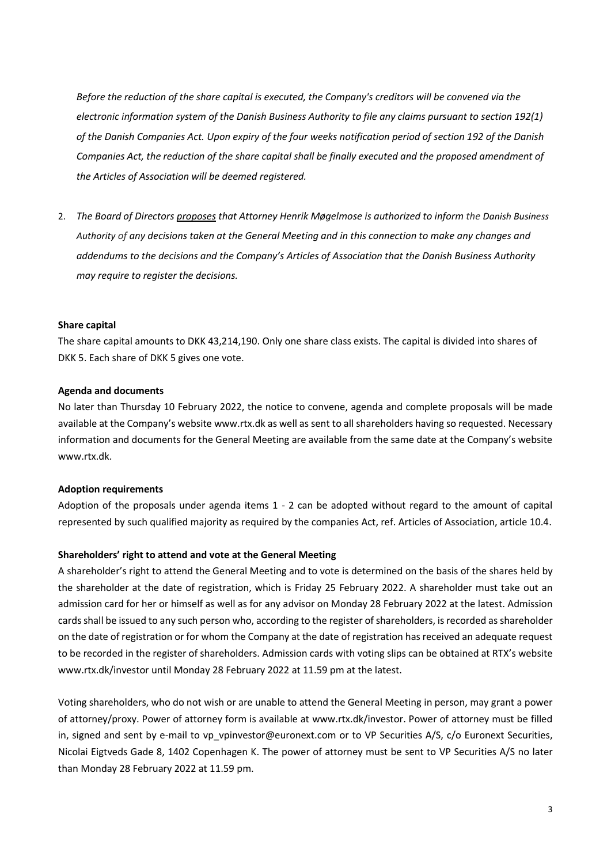*Before the reduction of the share capital is executed, the Company's creditors will be convened via the electronic information system of the Danish Business Authority to file any claims pursuant to section 192(1) of the Danish Companies Act. Upon expiry of the four weeks notification period of section 192 of the Danish Companies Act, the reduction of the share capital shall be finally executed and the proposed amendment of the Articles of Association will be deemed registered.*

2. *The Board of Directors proposes that Attorney Henrik Møgelmose is authorized to inform the Danish Business Authority of any decisions taken at the General Meeting and in this connection to make any changes and addendums to the decisions and the Company's Articles of Association that the Danish Business Authority may require to register the decisions.*

#### **Share capital**

The share capital amounts to DKK 43,214,190. Only one share class exists. The capital is divided into shares of DKK 5. Each share of DKK 5 gives one vote.

#### **Agenda and documents**

No later than Thursday 10 February 2022, the notice to convene, agenda and complete proposals will be made available at the Company's website www.rtx.dk as well as sent to all shareholders having so requested. Necessary information and documents for the General Meeting are available from the same date at the Company's website www.rtx.dk.

#### **Adoption requirements**

Adoption of the proposals under agenda items 1 - 2 can be adopted without regard to the amount of capital represented by such qualified majority as required by the companies Act, ref. Articles of Association, article 10.4.

#### **Shareholders' right to attend and vote at the General Meeting**

A shareholder's right to attend the General Meeting and to vote is determined on the basis of the shares held by the shareholder at the date of registration, which is Friday 25 February 2022. A shareholder must take out an admission card for her or himself as well as for any advisor on Monday 28 February 2022 at the latest. Admission cards shall be issued to any such person who, according to the register of shareholders, is recorded as shareholder on the date of registration or for whom the Company at the date of registration has received an adequate request to be recorded in the register of shareholders. Admission cards with voting slips can be obtained at RTX's website www.rtx.dk/investor until Monday 28 February 2022 at 11.59 pm at the latest.

Voting shareholders, who do not wish or are unable to attend the General Meeting in person, may grant a power of attorney/proxy. Power of attorney form is available at www.rtx.dk/investor. Power of attorney must be filled in, signed and sent by e-mail to vp\_vpinvestor@euronext.com or to VP Securities A/S, c/o Euronext Securities, Nicolai Eigtveds Gade 8, 1402 Copenhagen K. The power of attorney must be sent to VP Securities A/S no later than Monday 28 February 2022 at 11.59 pm.